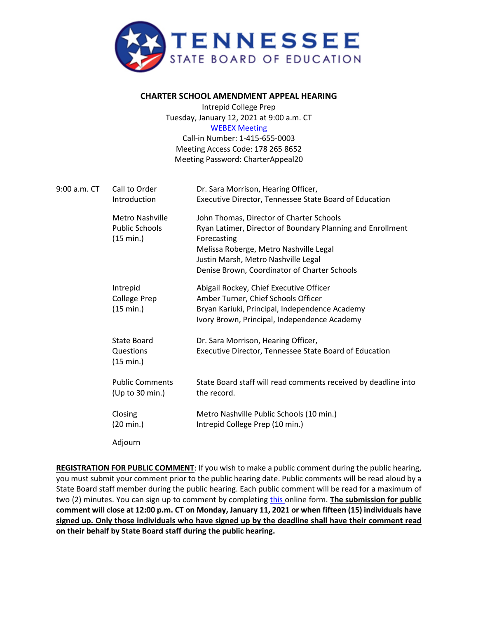

## **CHARTER SCHOOL AMENDMENT APPEAL HEARING**

Intrepid College Prep Tuesday, January 12, 2021 at 9:00 a.m. CT [WEBEX Meeting](https://tngov.webex.com/tngov/onstage/g.php?MTID=ec58e755b2216035f4a0666df70bd9152) Call-in Number: 1-415-655-0003 Meeting Access Code: 178 265 8652

Meeting Password: CharterAppeal20

| 9:00 a.m. CT | Call to Order<br>Introduction                         | Dr. Sara Morrison, Hearing Officer,<br>Executive Director, Tennessee State Board of Education                                                                                                                                                          |
|--------------|-------------------------------------------------------|--------------------------------------------------------------------------------------------------------------------------------------------------------------------------------------------------------------------------------------------------------|
|              | Metro Nashville<br><b>Public Schools</b><br>(15 min.) | John Thomas, Director of Charter Schools<br>Ryan Latimer, Director of Boundary Planning and Enrollment<br>Forecasting<br>Melissa Roberge, Metro Nashville Legal<br>Justin Marsh, Metro Nashville Legal<br>Denise Brown, Coordinator of Charter Schools |
|              | Intrepid<br>College Prep<br>(15 min.)                 | Abigail Rockey, Chief Executive Officer<br>Amber Turner, Chief Schools Officer<br>Bryan Kariuki, Principal, Independence Academy<br>Ivory Brown, Principal, Independence Academy                                                                       |
|              | State Board<br>Questions<br>(15 min.)                 | Dr. Sara Morrison, Hearing Officer,<br>Executive Director, Tennessee State Board of Education                                                                                                                                                          |
|              | <b>Public Comments</b><br>(Up to 30 min.)             | State Board staff will read comments received by deadline into<br>the record.                                                                                                                                                                          |
|              | Closing<br>$(20 \text{ min.})$                        | Metro Nashville Public Schools (10 min.)<br>Intrepid College Prep (10 min.)                                                                                                                                                                            |
|              | Adjourn                                               |                                                                                                                                                                                                                                                        |

**REGISTRATION FOR PUBLIC COMMENT**: If you wish to make a public comment during the public hearing, you must submit your comment prior to the public hearing date. Public comments will be read aloud by a State Board staff member during the public hearing. Each public comment will be read for a maximum of two (2) minutes. You can sign up to comment by completing [this o](https://stateoftennessee.formstack.com/forms/signup_for_public_comment_intrepid_public_hearing)nline form. **The submission for public comment will close at 12:00 p.m. CT on Monday, January 11, 2021 or when fifteen (15) individuals have signed up. Only those individuals who have signed up by the deadline shall have their comment read on their behalf by State Board staff during the public hearing.**